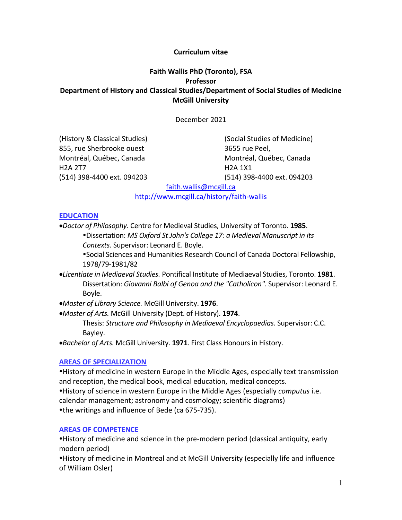#### **Curriculum vitae**

## **Faith Wallis PhD (Toronto), FSA Professor Department of History and Classical Studies/Department of Social Studies of Medicine McGill University**

December 2021

(History & Classical Studies) (Social Studies of Medicine) 855, rue Sherbrooke ouest 3655 rue Peel, Montréal, Québec, Canada Montréal, Québec, Canada H2A 2T7 H2A 1X1 (514) 398-4400 ext. 094203 (514) 398-4400 ext. 094203

[faith.wallis@mcgill.ca](mailto:faith.wallis@mcgill.ca)

http://www.mcgill.ca/history/faith-wallis

#### **EDUCATION**

•*Doctor of Philosophy*. Centre for Medieval Studies, University of Toronto. **1985**. Dissertation: *MS Oxford St John's College 17: a Medieval Manuscript in its Contexts*. Supervisor: Leonard E. Boyle.

Social Sciences and Humanities Research Council of Canada Doctoral Fellowship, 1978/79-1981/82

- •*Licentiate in Mediaeval Studies.* Pontifical Institute of Mediaeval Studies, Toronto. **1981**. Dissertation: *Giovanni Balbi of Genoa and the "Catholicon"*. Supervisor: Leonard E. Boyle.
- •*Master of Library Science.* McGill University. **1976**.
- •*Master of Arts.* McGill University (Dept. of History). **1974**.

Thesis: *Structure and Philosophy in Mediaeval Encyclopaedias*. Supervisor: C.C. Bayley.

•*Bachelor of Arts.* McGill University. **1971**. First Class Honours in History.

#### **AREAS OF SPECIALIZATION**

History of medicine in western Europe in the Middle Ages, especially text transmission and reception, the medical book, medical education, medical concepts.

History of science in western Europe in the Middle Ages (especially *computus* i.e.

calendar management; astronomy and cosmology; scientific diagrams) the writings and influence of Bede (ca 675-735).

## **AREAS OF COMPETENCE**

History of medicine and science in the pre-modern period (classical antiquity, early modern period)

History of medicine in Montreal and at McGill University (especially life and influence of William Osler)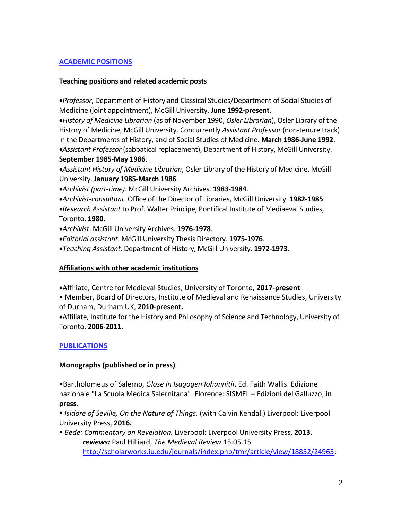## **ACADEMIC POSITIONS**

### **Teaching positions and related academic posts**

•*Professor*, Department of History and Classical Studies/Department of Social Studies of Medicine (joint appointment), McGill University. **June 1992-present**.

•*History of Medicine Librarian* (as of November 1990, *Osler Librarian*), Osler Library of the History of Medicine, McGill University. Concurrently *Assistant Professor* (non-tenure track) in the Departments of History, and of Social Studies of Medicine. **March 1986-June 1992**. •*Assistant Professor* (sabbatical replacement), Department of History, McGill University. **September 1985-May 1986**.

•*Assistant History of Medicine Librarian*, Osler Library of the History of Medicine, McGill University. **January 1985-March 1986**.

•*Archivist (part-time)*. McGill University Archives. **1983-1984**.

•*Archivist-consultant*. Office of the Director of Libraries, McGill University. **1982-1985**.

•*Research Assistant* to Prof. Walter Principe, Pontifical Institute of Mediaeval Studies, Toronto. **1980**.

•*Archivist*. McGill University Archives. **1976-1978**.

•*Editorial assistant*. McGill University Thesis Directory. **1975-1976**.

•*Teaching Assistant*. Department of History, McGill University. **1972-1973**.

## **Affiliations with other academic institutions**

•Affiliate, Centre for Medieval Studies, University of Toronto, **2017-present**

• Member, Board of Directors, Institute of Medieval and Renaissance Studies, University of Durham, Durham UK, **2010-present.**

•Affiliate, Institute for the History and Philosophy of Science and Technology, University of Toronto, **2006-2011**.

## **PUBLICATIONS**

## **Monographs (published or in press)**

•Bartholomeus of Salerno, *Glose in Isagogen Iohannitii*. Ed. Faith Wallis. Edizione nazionale "La Scuola Medica Salernitana". Florence: SISMEL – Edizioni del Galluzzo, **in press.**

 *Isidore of Seville, On the Nature of Things.* (with Calvin Kendall) Liverpool: Liverpool University Press, **2016.**

 *Bede: Commentary on Revelation.* Liverpool: Liverpool University Press, **2013.** *reviews:* Paul Hilliard, *The Medieval Review* 15.05.15 [http://scholarworks.iu.edu/journals/index.php/tmr/article/view/18852/24965;](http://scholarworks.iu.edu/journals/index.php/tmr/article/view/18852/24965)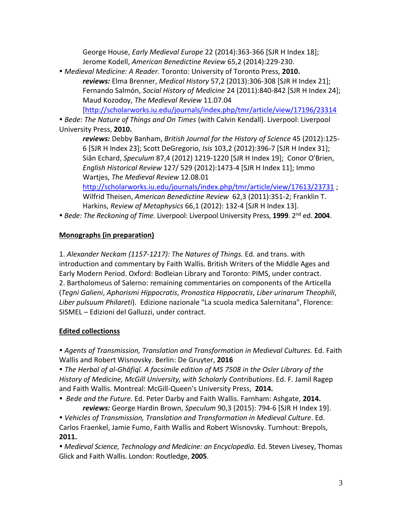George House, *Early Medieval Europe* 22 (2014):363-366 [SJR H Index 18]; Jerome Kodell, *American Benedictine Review* 65,2 (2014):229-230.

*Medieval Medicine: A Reader.* Toronto: University of Toronto Press, **2010.**

*reviews:* Elma Brenner, *Medical History* 57,2 (2013):306-308 [SJR H Index 21]; Fernando Salmón, *Social History of Medicine* 24 (2011):840-842 [SJR H Index 24]; Maud Kozodoy, *The Medieval Review* 11.07.04

[\[http://scholarworks.iu.edu/journals/index.php/tmr/article/view/17196/23314](http://scholarworks.iu.edu/journals/index.php/tmr/article/view/17196/23314)

 *Bede: The Nature of Things and On Times* (with Calvin Kendall). Liverpool: Liverpool University Press, **2010.**

*reviews:* Debby Banham, *British Journal for the History of Science* 45 (2012):125- 6 [SJR H Index 23]; Scott DeGregorio, *Isis* 103,2 (2012):396-7 [SJR H Index 31]; Siân Echard, *Speculum* 87,4 (2012) 1219-1220 [SJR H Index 19]; Conor O'Brien, *English Historical Review* 127/ 529 (2012):1473-4 [SJR H Index 11]; Immo Wartjes, *The Medieval Review* 12.08.01

<http://scholarworks.iu.edu/journals/index.php/tmr/article/view/17613/23731> ; Wilfrid Theisen, *American Benedictine Review* 62,3 (2011):351-2; Franklin T. Harkins, *Review of Metaphysics* 66,1 (2012): 132-4 [SJR H Index 13].

*Bede: The Reckoning of Time.* Liverpool: Liverpool University Press, **1999**. 2nd ed. **2004**.

# **Monographs (in preparation)**

1. *Alexander Neckam (1157-1217): The Natures of Things.* Ed. and trans. with introduction and commentary by Faith Wallis. British Writers of the Middle Ages and Early Modern Period. Oxford: Bodleian Library and Toronto: PIMS, under contract. 2. Bartholomeus of Salerno: remaining commentaries on components of the Articella (*Tegni Galieni*, *Aphorismi Hippocratis*, *Pronostica Hippocratis*, *Liber urinarum Theophili*, *Liber pulsuum Philareti*)*.* Edizione nazionale "La scuola medica Salernitana", Florence: SISMEL – Edizioni del Galluzzi, under contract.

# **Edited collectionss**

 *Agents of Transmission, Translation and Transformation in Medieval Cultures.* Ed. Faith Wallis and Robert Wisnovsky. Berlin: De Gruyter, **2016**

 *The Herbal of al-Ghāfiqī. A facsimile edition of MS 7508 in the Osler Library of the History of Medicine, McGill University, with Scholarly Contributions*. Ed. F. Jamil Ragep and Faith Wallis. Montreal: McGill-Queen's University Press, **2014.**

 *Bede and the Future.* Ed. Peter Darby and Faith Wallis. Farnham: Ashgate, **2014.** *reviews:* George Hardin Brown, *Speculum* 90,3 (2015): 794-6 [SJR H Index 19].

 *Vehicles of Transmission, Translation and Transformation in Medieval Culture*. Ed. Carlos Fraenkel, Jamie Fumo, Faith Wallis and Robert Wisnovsky. Turnhout: Brepols, **2011.**

• Medieval Science, Technology and Medicine: an Encyclopedia. Ed. Steven Livesey, Thomas Glick and Faith Wallis. London: Routledge, **2005**.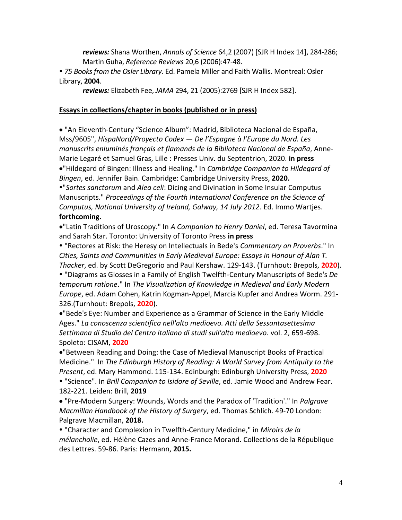*reviews:* Shana Worthen, *Annals of Science* 64,2 (2007) [SJR H Index 14], 284-286; Martin Guha, *Reference Reviews* 20,6 (2006):47-48.

 *75 Books from the Osler Library.* Ed. Pamela Miller and Faith Wallis. Montreal: Osler Library, **2004**.

*reviews:* Elizabeth Fee, *JAMA* 294, 21 (2005):2769 [SJR H Index 582].

### **Essays in collections/chapter in books (published or in press)**

• "An Eleventh-Century "Science Album": Madrid, Biblioteca Nacional de España, Mss/9605", *HispaNord/Proyecto Codex — De l'Espagne à l'Europe du Nord. Les manuscrits enluminés français et flamands de la Biblioteca Nacional de España*, Anne-Marie Legaré et Samuel Gras, Lille : Presses Univ. du Septentrion, 2020. **in press** •"Hildegard of Bingen: Illness and Healing." In *Cambridge Companion to Hildegard of Bingen*, ed. Jennifer Bain. Cambridge: Cambridge University Press, **2020.**

"*Sortes sanctorum* and *Alea celi*: Dicing and Divination in Some Insular Computus Manuscripts." *Proceedings of the Fourth International Conference on the Science of Computus, National University of Ireland, Galway, 14 July 2012*. Ed. Immo Wartjes. **forthcoming.**

•"Latin Traditions of Uroscopy." In *A Companion to Henry Daniel*, ed. Teresa Tavormina and Sarah Star. Toronto: University of Toronto Press **in press**

 "Rectores at Risk: the Heresy on Intellectuals in Bede's *Commentary on Proverbs*." In *Cities, Saints and Communities in Early Medieval Europe: Essays in Honour of Alan T. Thacker*, ed. by Scott DeGregorio and Paul Kershaw. 129-143. (Turnhout: Brepols, **2020**).

 "Diagrams as Glosses in a Family of English Twelfth-Century Manuscripts of Bede's *De temporum ratione*." In *The Visualization of Knowledge in Medieval and Early Modern Europe*, ed. Adam Cohen, Katrin Kogman-Appel, Marcia Kupfer and Andrea Worm. 291- 326.(Turnhout: Brepols, **2020**).

•"Bede's Eye: Number and Experience as a Grammar of Science in the Early Middle Ages." *La conoscenza scientifica nell'alto medioevo. Atti della Sessantasettesima Settimana di Studio del Centro italiano di studi sull'alto medioevo.* vol. 2, 659-698. Spoleto: CISAM, **2020**

•"Between Reading and Doing: the Case of Medieval Manuscript Books of Practical Medicine." In *The Edinburgh History of Reading: A World Survey from Antiquity to the Present*, ed. Mary Hammond. 115-134. Edinburgh: Edinburgh University Press, **2020**

 "Science". In *Brill Companion to Isidore of Seville*, ed. Jamie Wood and Andrew Fear. 182-221. Leiden: Brill, **2019**

• "Pre-Modern Surgery: Wounds, Words and the Paradox of 'Tradition'." In *Palgrave Macmillan Handbook of the History of Surgery*, ed. Thomas Schlich. 49-70 London: Palgrave Macmillan, **2018.**

 "Character and Complexion in Twelfth-Century Medicine," in *Miroirs de la mélancholie*, ed. Hélène Cazes and Anne-France Morand. Collections de la République des Lettres. 59-86. Paris: Hermann, **2015.**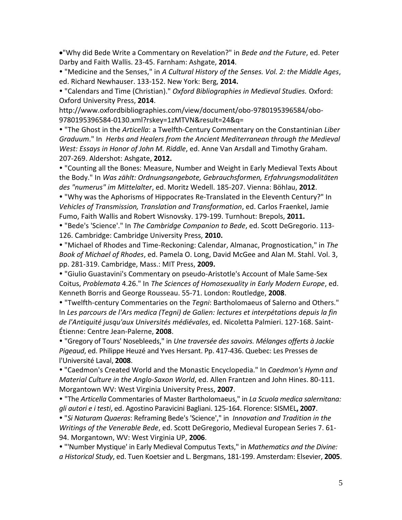•"Why did Bede Write a Commentary on Revelation?" in *Bede and the Future*, ed. Peter Darby and Faith Wallis. 23-45. Farnham: Ashgate, **2014**.

 "Medicine and the Senses," in *A Cultural History of the Senses. Vol. 2: the Middle Ages*, ed. Richard Newhauser. 133-152. New York: Berg, **2014.**

 "Calendars and Time (Christian)." *Oxford Bibliographies in Medieval Studies.* Oxford: Oxford University Press, **2014**.

http://www.oxfordbibliographies.com/view/document/obo-9780195396584/obo-9780195396584-0130.xml?rskey=1zMTVN&result=24&q=

 "The Ghost in the *Articella*: a Twelfth-Century Commentary on the Constantinian *Liber Graduum*." In *Herbs and Healers from the Ancient Mediterranean through the Medieval West: Essays in Honor of John M. Riddle*, ed. Anne Van Arsdall and Timothy Graham. 207-269. Aldershot: Ashgate, **2012.**

 "Counting all the Bones: Measure, Number and Weight in Early Medieval Texts About the Body." In *Was zählt: Ordnungsangebote, Gebrauchsformen, Erfahrungsmodalitäten des "numerus" im Mittelalter*, ed. Moritz Wedell. 185-207. Vienna: Böhlau, **2012**.

 "Why was the Aphorisms of Hippocrates Re-Translated in the Eleventh Century?" In *Vehicles of Transmission, Translation and Transformation*, ed. Carlos Fraenkel, Jamie Fumo, Faith Wallis and Robert Wisnovsky. 179-199. Turnhout: Brepols, **2011.**

 "Bede's 'Science'." In *The Cambridge Companion to Bede*, ed. Scott DeGregorio. 113- 126. Cambridge: Cambridge University Press, **2010.**

 "Michael of Rhodes and Time-Reckoning: Calendar, Almanac, Prognostication," in *The Book of Michael of Rhodes*, ed. Pamela O. Long, David McGee and Alan M. Stahl. Vol. 3, pp. 281-319. Cambridge, Mass.: MIT Press, **2009.**

 "Giulio Guastavini's Commentary on pseudo-Aristotle's Account of Male Same-Sex Coitus, *Problemata* 4.26." In *The Sciences of Homosexuality in Early Modern Europe*, ed. Kenneth Borris and George Rousseau. 55-71. London: Routledge, **2008**.

 "Twelfth-century Commentaries on the *Tegni*: Bartholomaeus of Salerno and Others." In *Les parcours de l'Ars medica (Tegni) de Galien: lectures et interpétations depuis la fin de l'Antiquité jusqu'aux Universités médiévales*, ed. Nicoletta Palmieri. 127-168. Saint-Étienne: Centre Jean-Palerne, **2008**.

 "Gregory of Tours' Nosebleeds," in *Une traversée des savoirs. Mélanges offerts à Jackie Pigeaud*, ed. Philippe Heuzé and Yves Hersant. Pp. 417-436. Quebec: Les Presses de l'Université Laval, **2008**.

 "Caedmon's Created World and the Monastic Encyclopedia." In *Caedmon's Hymn and Material Culture in the Anglo-Saxon World*, ed. Allen Frantzen and John Hines. 80-111. Morgantown WV: West Virginia University Press, **2007**.

 "The *Articella* Commentaries of Master Bartholomaeus," in *La Scuola medica salernitana: gli autori e i testi*, ed. Agostino Paravicini Bagliani. 125-164. Florence: SISMEL**, 2007**.

 "*Si Naturam Quaeras*: Reframing Bede's 'Science'," in *Innovation and Tradition in the Writings of the Venerable Bede*, ed. Scott DeGregorio, Medieval European Series 7. 61- 94. Morgantown, WV: West Virginia UP, **2006**.

 "'Number Mystique' in Early Medieval Computus Texts," in *Mathematics and the Divine: a Historical Study*, ed. Tuen Koetsier and L. Bergmans, 181-199. Amsterdam: Elsevier, **2005**.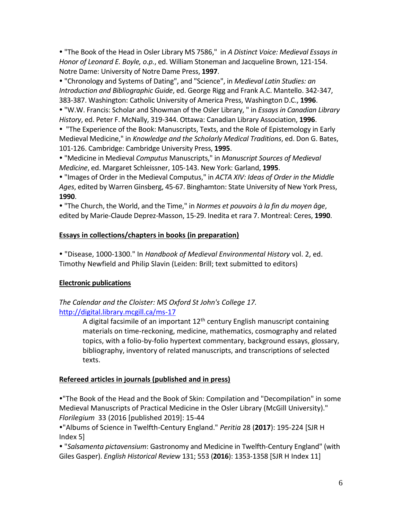"The Book of the Head in Osler Library MS 7586," in *A Distinct Voice: Medieval Essays in Honor of Leonard E. Boyle, o.p.*, ed. William Stoneman and Jacqueline Brown, 121-154. Notre Dame: University of Notre Dame Press, **1997**.

 "Chronology and Systems of Dating", and "Science", in *Medieval Latin Studies: an Introduction and Bibliographic Guide*, ed. George Rigg and Frank A.C. Mantello. 342-347, 383-387. Washington: Catholic University of America Press, Washington D.C., **1996**.

 "W.W. Francis: Scholar and Showman of the Osler Library, " in *Essays in Canadian Library History*, ed. Peter F. McNally, 319-344. Ottawa: Canadian Library Association, **1996**.

 "The Experience of the Book: Manuscripts, Texts, and the Role of Epistemology in Early Medieval Medicine," in *Knowledge and the Scholarly Medical Traditions*, ed. Don G. Bates, 101-126. Cambridge: Cambridge University Press, **1995**.

 "Medicine in Medieval *Computus* Manuscripts," in *Manuscript Sources of Medieval Medicine*, ed. Margaret Schleissner, 105-143. New York: Garland, **1995**.

 "Images of Order in the Medieval Computus," in *ACTA XIV: Ideas of Order in the Middle Ages*, edited by Warren Ginsberg, 45-67. Binghamton: State University of New York Press, **1990**.

 "The Church, the World, and the Time," in *Normes et pouvoirs à la fin du moyen âge*, edited by Marie-Claude Deprez-Masson, 15-29. Inedita et rara 7. Montreal: Ceres, **1990**.

## **Essays in collections/chapters in books (in preparation)**

 "Disease, 1000-1300." In *Handbook of Medieval Environmental History* vol. 2, ed. Timothy Newfield and Philip Slavin (Leiden: Brill; text submitted to editors)

## **Electronic publications**

*The Calendar and the Cloister: MS Oxford St John's College 17.*  <http://digital.library.mcgill.ca/ms-17>

> A digital facsimile of an important  $12<sup>th</sup>$  century English manuscript containing materials on time-reckoning, medicine, mathematics, cosmography and related topics, with a folio-by-folio hypertext commentary, background essays, glossary, bibliography, inventory of related manuscripts, and transcriptions of selected texts.

## **Refereed articles in journals (published and in press)**

"The Book of the Head and the Book of Skin: Compilation and "Decompilation" in some Medieval Manuscripts of Practical Medicine in the Osler Library (McGill University)." *Florilegium* 33 (2016 [published 2019]: 15-44

"Albums of Science in Twelfth-Century England." *Peritia* 28 (**2017**): 195-224 [SJR H Index 5]

 "*Salsamenta pictavensium*: Gastronomy and Medicine in Twelfth-Century England" (with Giles Gasper). *English Historical Review* 131; 553 (**2016**): 1353-1358 [SJR H Index 11]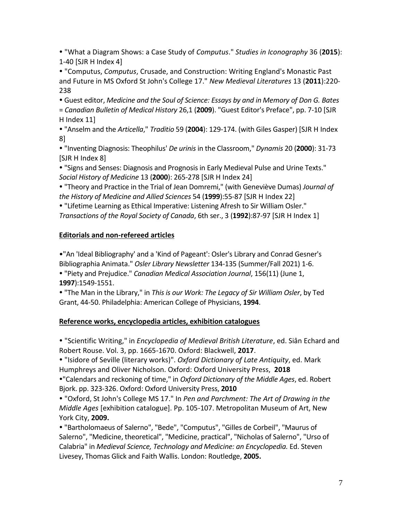"What a Diagram Shows: a Case Study of *Computus*." *Studies in Iconography* 36 (**2015**): 1-40 [SJR H Index 4]

 "Computus, *Computus*, Crusade, and Construction: Writing England's Monastic Past and Future in MS Oxford St John's College 17." *New Medieval Literatures* 13 (**2011**):220- 238

 Guest editor, *Medicine and the Soul of Science: Essays by and in Memory of Don G. Bates*  = *Canadian Bulletin of Medical History* 26,1 (**2009**). "Guest Editor's Preface", pp. 7-10 [SJR H Index 11]

 "Anselm and the *Articella*," *Traditio* 59 (**2004**): 129-174. (with Giles Gasper) [SJR H Index 8]

 "Inventing Diagnosis: Theophilus' *De urinis* in the Classroom," *Dynamis* 20 (**2000**): 31-73 [SJR H Index 8]

 "Signs and Senses: Diagnosis and Prognosis in Early Medieval Pulse and Urine Texts." *Social History of Medicine* 13 (**2000**): 265-278 [SJR H Index 24]

 "Theory and Practice in the Trial of Jean Domremi," (with Geneviève Dumas) *Journal of the History of Medicine and Allied Sciences* 54 (**1999**):55-87 [SJR H Index 22]

 "Lifetime Learning as Ethical Imperative: Listening Afresh to Sir William Osler." *Transactions of the Royal Society of Canada*, 6th ser., 3 (**1992**):87-97 [SJR H Index 1]

## **Editorials and non-refereed articles**

•"An 'Ideal Bibliography' and a 'Kind of Pageant': Osler's Library and Conrad Gesner's Bibliographia Animata." *Osler Library Newsletter* 134-135 (Summer/Fall 2021) 1-6.

 "Piety and Prejudice." *Canadian Medical Association Journal*, 156(11) (June 1, **1997**):1549-1551.

 "The Man in the Library," in *This is our Work: The Legacy of Sir William Osler*, by Ted Grant, 44-50. Philadelphia: American College of Physicians, **1994**.

# **Reference works, encyclopedia articles, exhibition catalogues**

 "Scientific Writing," in *Encyclopedia of Medieval British Literature*, ed. Siân Echard and Robert Rouse. Vol. 3, pp. 1665-1670. Oxford: Blackwell, **2017**.

 "Isidore of Seville (literary works)". *Oxford Dictionary of Late Antiquity*, ed. Mark Humphreys and Oliver Nicholson. Oxford: Oxford University Press, **2018**

"Calendars and reckoning of time," in *Oxford Dictionary of the Middle Ages*, ed. Robert Bjork. pp. 323-326. Oxford: Oxford University Press, **2010**

 "Oxford, St John's College MS 17." In *Pen and Parchment: The Art of Drawing in the Middle Ages* [exhibition catalogue]. Pp. 105-107. Metropolitan Museum of Art, New York City, **2009.**

 "Bartholomaeus of Salerno", "Bede", "Computus", "Gilles de Corbeil", "Maurus of Salerno", "Medicine, theoretical", "Medicine, practical", "Nicholas of Salerno", "Urso of Calabria" in *Medieval Science, Technology and Medicine: an Encyclopedia.* Ed. Steven Livesey, Thomas Glick and Faith Wallis. London: Routledge, **2005.**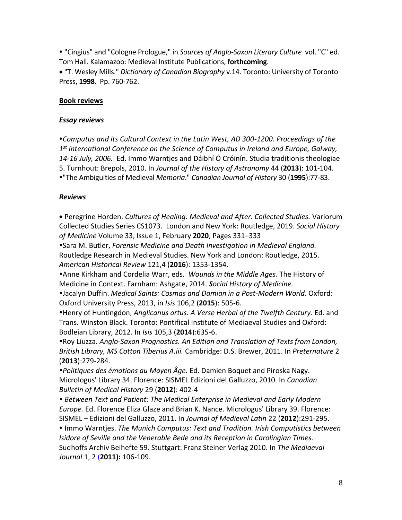"Cingius" and "Cologne Prologue," in *Sources of Anglo-Saxon Literary Culture* vol. "C" ed. Tom Hall. Kalamazoo: Medieval Institute Publications, **forthcoming**.

• "T. Wesley Mills." *Dictionary of Canadian Biography* v.14. Toronto: University of Toronto Press, **1998**. Pp. 760-762.

### **Book reviews**

#### *Essay reviews*

*Computus and its Cultural Context in the Latin West, AD 300-1200. Proceedings of the 1 st International Conference on the Science of Computus in Ireland and Europe, Galway, 14-16 July, 2006.* Ed. Immo Warntjes and Dáibhí Ó Cróinín. Studia traditionis theologiae 5. Turnhout: Brepols, 2010. In *Journal of the History of Astronomy* 44 (**2013**): 101-104. "The Ambiguities of Medieval *Memoria*." *Canadian Journal of History* 30 (**1995**):77-83.

### *Reviews*

• Peregrine Horden. *Cultures of Healing: Medieval and After. Collected Studies.* Variorum Collected Studies Series CS1073. London and New York: Routledge, 2019. *Social History of Medicine* Volume 33, Issue 1, February **2020**, Pages 331–333

Sara M. Butler, *Forensic Medicine and Death Investigation in Medieval England.*  Routledge Research in Medieval Studies. New York and London: Routledge, 2015. *American Historical Review* 121,4 (**2016**): 1353-1354.

Anne Kirkham and Cordelia Warr, eds. *Wounds in the Middle Ages.* The History of Medicine in Context. Farnham: Ashgate, 2014. *Social History of Medicine.*

Jacalyn Duffin. *Medical Saints: Cosmas and Damian in a Post-Modern World*. Oxford: Oxford University Press, 2013, in *Isis* 106,2 (**2015**): 505-6.

Henry of Huntingdon, *Anglicanus ortus. A Verse Herbal of the Twelfth Century.* Ed. and Trans. Winston Black. Toronto: Pontifical Institute of Mediaeval Studies and Oxford: Bodleian Library, 2012. In *Isis* 105,3 (**2014**):635-6.

Roy Liuzza. *Anglo-Saxon Prognostics. An Edition and Translation of Texts from London, British Library, MS Cotton Tiberius A.iii.* Cambridge: D.S. Brewer, 2011. In *Preternature* 2 (**2013**):279-284.

*Politiques des émotions au Moyen Âge.* Ed. Damien Boquet and Piroska Nagy. Micrologus' Library 34. Florence: SISMEL Edizioni del Galluzzo, 2010. In *Canadian Bulletin of Medical History* 29 (**2012**): 402-4

 *Between Text and Patient: The Medical Enterprise in Medieval and Early Modern Europe.* Ed. Florence Eliza Glaze and Brian K. Nance. Micrologus' Library 39. Florence: SISMEL – Edizioni del Galluzzo, 2011. In *Journal of Medieval Latin* 22 (**2012**):291-295.

• Immo Warntjes. *The Munich Computus: Text and Tradition. Irish Computistics between Isidore of Seville and the Venerable Bede and its Reception in Carolingian Times.*  Sudhoffs Archiv Beihefte 59. Stuttgart: Franz Steiner Verlag 2010. In *The Mediaeval Journal* 1, 2 (**2011):** 106-109.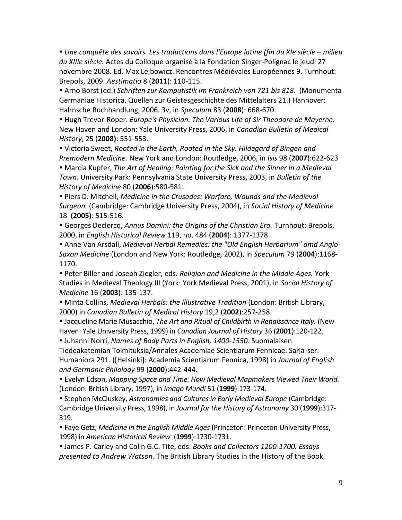**• Une conquête des savoirs. Les traductions dans l'Europe latine (fin du XIe siècle – milieu** *du XIIIe siècle.* Actes du Colloque organisé à la Fondation Singer-Polignac le jeudi 27 novembre 2008. Ed. Max Lejbowicz. Rencontres Médiévales Européennes 9. Turnhout: Brepols, 2009. *Aestimatio* 8 (**2011**): 110-115.

 Arno Borst (ed.) *Schriften zur Komputistik im Frankreich von 721 bis 818.* (Monumenta Germaniae Historica, Quellen zur Geistesgeschichte des Mittelalters 21.) Hannover: Hahnsche Buchhandlung, 2006. 3v, in *Speculum* 83 (**2008**): 668-670.

 Hugh Trevor-Roper. *Europe's Physician. The Various Life of Sir Theodore de Mayerne.* New Haven and London: Yale University Press, 2006, in *Canadian Bulletin of Medical History*, 25 (**2008)**: 551-553.

 Victoria Sweet, *Rooted in the Earth, Rooted in the Sky. Hildegard of Bingen and Premodern Medicine.* New York and London: Routledge, 2006, in *Isis* 98 (**2007**):622-623

 Marcia Kupfer, *The Art of Healing: Painting for the Sick and the Sinner in a Medieval Town.* University Park: Pennsylvania State University Press, 2003, in *Bulletin of the History of Medicine* 80 (**2006**):580-581.

 Piers D. Mitchell, *Medicine in the Crusades: Warfare, Wounds and the Medieval Surgeon.* (Cambridge: Cambridge University Press, 2004), in *Social History of Medicine* 18 **(2005)**: 515-516.

 Georges Declercq, *Annus Domini: the Origins of the Christian Era.* Turnhout: Brepols, 2000, in *English Historical Review* 119, no. 484 (**2004**): 1377-1378.

 Anne Van Arsdall, *Medieval Herbal Remedies: the "Old English Herbarium" amd Anglo-Saxon Medicine* (London and New York: Routledge, 2002), in *Speculum* 79 (**2004**):1168- 1170.

 Peter Biller and Joseph Ziegler, eds. *Religion and Medicine in the Middle Ages.* York Studies in Medieval Theology III (York: York Medieval Press, 2001), in *Social History of Medicine* 16 (**2003**): 135-137.

 Minta Collins, *Medieval Herbals: the Illustrative Tradition* (London: British Library, 2000) in *Canadian Bulletin of Medical History* 19,2 (**2002**):257-258.

 Jacqueline Marie Musacchio, *The Art and Ritual of Childbirth in Renaissance Italy.* (New Haven: Yale University Press, 1999) in *Canadian Journal of History* 36 (**2001**):120-122.

 Juhanni Norri, *Names of Body Parts in English, 1400-1550.* Suomalaisen Tiedeakatemian Toimituksia/Annales Academiae Scientiarum Fennicae. Sarja-ser. Humaniora 291. ([Helsinki]: Academia Scientiarum Fennica, 1998) in *Journal of English and Germanic Philology* 99 (**2000**):442-444.

 Evelyn Edson, *Mapping Space and Time. How Medieval Mapmakers Viewed Their World.* (London: British Library, 1997), in *Imago Mundi* 51 (**1999**):173-174.

 Stephen McCluskey, *Astronomies and Cultures in Early Medieval Europe* (Cambridge: Cambridge University Press, 1998), in *Journal for the History of Astronomy* 30 (**1999**):317- 319.

 Faye Getz, *Medicine in the English Middle Ages* (Princeton: Princeton University Press, 1998) in *American Historical Review* (**1999**):1730-1731.

 James P. Carley and Colin G.C. Tite, eds. *Books and Collectors 1200-1700. Essays presented to Andrew Watson.* The British Library Studies in the History of the Book.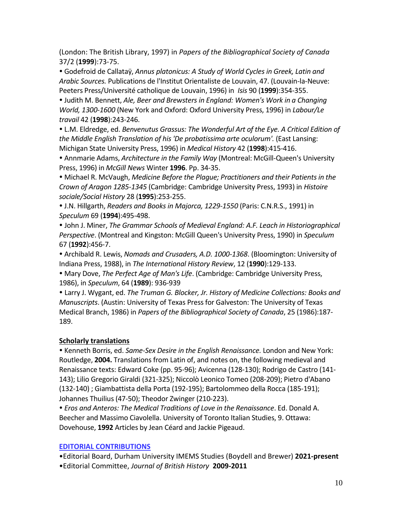(London: The British Library, 1997) in *Papers of the Bibliographical Society of Canada* 37/2 (**1999**):73-75.

 Godefroid de Callataÿ, *Annus platonicus: A Study of World Cycles in Greek, Latin and Arabic Sources.* Publications de l'Institut Orientaliste de Louvain, 47. (Louvain-la-Neuve: Peeters Press/Université catholique de Louvain, 1996) in *Isis* 90 (**1999**):354-355.

 Judith M. Bennett, *Ale, Beer and Brewsters in England: Women's Work in a Changing World, 1300-1600* (New York and Oxford: Oxford University Press, 1996) in *Labour/Le travail* 42 (**1998**):243-246.

 L.M. Eldredge, ed. *Benvenutus Grassus: The Wonderful Art of the Eye. A Critical Edition of the Middle English Translation of his 'De probatissima arte oculorum'.* (East Lansing: Michigan State University Press, 1996) in *Medical History* 42 (**1998**):415-416.

 Annmarie Adams, *Architecture in the Family Way* (Montreal: McGill-Queen's University Press, 1996) in *McGill News* Winter **1996**. Pp. 34-35.

 Michael R. McVaugh, *Medicine Before the Plague; Practitioners and their Patients in the Crown of Aragon 1285-1345* (Cambridge: Cambridge University Press, 1993) in *Histoire sociale/Social History* 28 (**1995**):253-255.

 J.N. Hillgarth, *Readers and Books in Majorca, 1229-1550* (Paris: C.N.R.S., 1991) in *Speculum* 69 (**1994**):495-498.

 John J. Miner, *The Grammar Schools of Medieval England: A.F. Leach in Historiographical Perspective*. (Montreal and Kingston: McGill Queen's University Press, 1990) in *Speculum* 67 (**1992**):456-7.

 Archibald R. Lewis, *Nomads and Crusaders, A.D. 1000-1368*. (Bloomington: University of Indiana Press, 1988), in *The International History Review*, 12 (**1990**):129-133.

 Mary Dove, *The Perfect Age of Man's Life*. (Cambridge: Cambridge University Press, 1986), in *Speculum*, 64 (**1989**): 936-939

 Larry J. Wygant, ed. *The Truman G. Blocker, Jr. History of Medicine Collections: Books and Manuscripts*. (Austin: University of Texas Press for Galveston: The University of Texas Medical Branch, 1986) in *Papers of the Bibliographical Society of Canada*, 25 (1986):187- 189.

## **Scholarly translations**

 Kenneth Borris, ed. *Same-Sex Desire in the English Renaissance.* London and New York: Routledge, **2004.** Translations from Latin of, and notes on, the following medieval and Renaissance texts: Edward Coke (pp. 95-96); Avicenna (128-130); Rodrigo de Castro (141- 143); Lilio Gregorio Giraldi (321-325); Niccolò Leonico Tomeo (208-209); Pietro d'Abano (132-140) ; Giambattista della Porta (192-195); Bartolommeo della Rocca (185-191); Johannes Thuilius (47-50); Theodor Zwinger (210-223).

 *Eros and Anteros: The Medical Traditions of Love in the Renaissance*. Ed. Donald A. Beecher and Massimo Ciavolella. University of Toronto Italian Studies, 9. Ottawa: Dovehouse, **1992** Articles by Jean Céard and Jackie Pigeaud.

## **EDITORIAL CONTRIBUTIONS**

•Editorial Board, Durham University IMEMS Studies (Boydell and Brewer) **2021-present** •Editorial Committee, *Journal of British History* **2009-2011**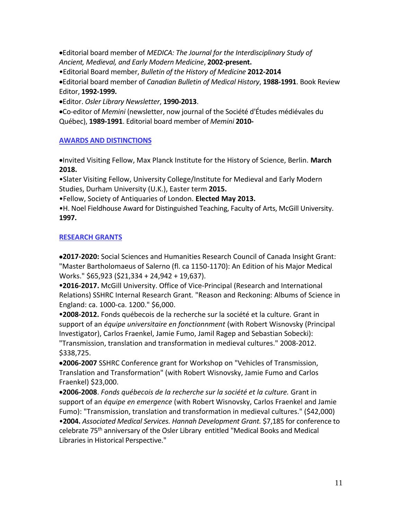•Editorial board member of *MEDICA: The Journal for the Interdisciplinary Study of Ancient, Medieval, and Early Modern Medicine*, **2002-present.**

•Editorial Board member, *Bulletin of the History of Medicine* **2012-2014**

•Editorial board member of *Canadian Bulletin of Medical History*, **1988-1991**. Book Review Editor, **1992-1999.**

•Editor. *Osler Library Newsletter*, **1990-2013**.

•Co-editor of *Memini* (newsletter, now journal of the Société d'Études médiévales du Québec), **1989-1991**. Editorial board member of *Memini* **2010-**

### **AWARDS AND DISTINCTIONS**

•Invited Visiting Fellow, Max Planck Institute for the History of Science, Berlin. **March 2018.**

•Slater Visiting Fellow, University College/Institute for Medieval and Early Modern Studies, Durham University (U.K.), Easter term **2015.**

•Fellow, Society of Antiquaries of London. **Elected May 2013.**

•H. Noel Fieldhouse Award for Distinguished Teaching, Faculty of Arts, McGill University. **1997.**

### **RESEARCH GRANTS**

•**2017-2020:** Social Sciences and Humanities Research Council of Canada Insight Grant: "Master Bartholomaeus of Salerno (fl. ca 1150-1170): An Edition of his Major Medical Works." \$65,923 (\$21,334 + 24,942 + 19,637).

**2016-2017.** McGill University. Office of Vice-Principal (Research and International Relations) SSHRC Internal Research Grant*.* "Reason and Reckoning: Albums of Science in England: ca. 1000-ca. 1200." \$6,000.

**2008-2012.** Fonds québecois de la recherche sur la société et la culture*.* Grant in support of an *équipe universitaire en fonctionnment* (with Robert Wisnovsky (Principal Investigator), Carlos Fraenkel, Jamie Fumo, Jamil Ragep and Sebastian Sobecki): "Transmission, translation and transformation in medieval cultures." 2008-2012. \$338,725.

•**2006-2007** SSHRC Conference grant for Workshop on "Vehicles of Transmission, Translation and Transformation" (with Robert Wisnovsky, Jamie Fumo and Carlos Fraenkel) \$23,000.

•**2006-2008**. *Fonds québecois de la recherche sur la société et la culture.* Grant in support of an *équipe en emergence* (with Robert Wisnovsky, Carlos Fraenkel and Jamie Fumo): "Transmission, translation and transformation in medieval cultures." (\$42,000) •**2004.** *Associated Medical Services. Hannah Development Grant.* \$7,185 for conference to celebrate 75th anniversary of the Osler Library entitled "Medical Books and Medical Libraries in Historical Perspective."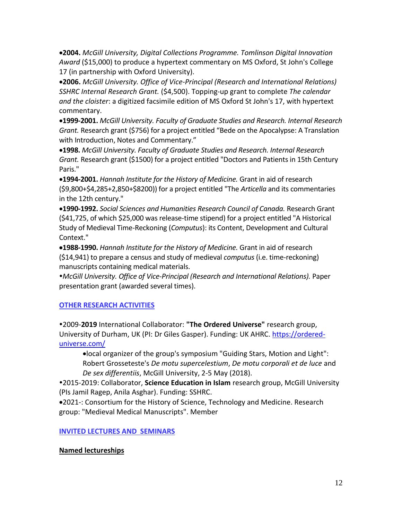•**2004.** *McGill University, Digital Collections Programme. Tomlinson Digital Innovation Award* (\$15,000) to produce a hypertext commentary on MS Oxford, St John's College 17 (in partnership with Oxford University).

•**2006.** *McGill University. Office of Vice-Principal (Research and International Relations) SSHRC Internal Research Grant.* (\$4,500). Topping-up grant to complete *The calendar and the cloister*: a digitized facsimile edition of MS Oxford St John's 17, with hypertext commentary.

•**1999-2001.** *McGill University. Faculty of Graduate Studies and Research. Internal Research Grant.* Research grant (\$756) for a project entitled "Bede on the Apocalypse: A Translation with Introduction, Notes and Commentary."

•**1998.** *McGill University. Faculty of Graduate Studies and Research. Internal Research Grant.* Research grant (\$1500) for a project entitled "Doctors and Patients in 15th Century Paris."

•**1994-2001.** *Hannah Institute for the History of Medicine.* Grant in aid of research (\$9,800+\$4,285+2,850+\$8200)) for a project entitled "The *Articella* and its commentaries in the 12th century."

•**1990-1992.** *Social Sciences and Humanities Research Council of Canada.* Research Grant (\$41,725, of which \$25,000 was release-time stipend) for a project entitled "A Historical Study of Medieval Time-Reckoning (*Computus*): its Content, Development and Cultural Context."

•**1988-1990.** *Hannah Institute for the History of Medicine.* Grant in aid of research (\$14,941) to prepare a census and study of medieval *computus* (i.e. time-reckoning) manuscripts containing medical materials.

*McGill University. Office of Vice-Principal (Research and International Relations).* Paper presentation grant (awarded several times).

## **OTHER RESEARCH ACTIVITIES**

2009-**2019** International Collaborator: **"The Ordered Universe"** research group, University of Durham, UK (PI: Dr Giles Gasper). Funding: UK AHRC. [https://ordered](https://ordered-universe.com/)[universe.com/](https://ordered-universe.com/)

•local organizer of the group's symposium "Guiding Stars, Motion and Light": Robert Grosseteste's *De motu supercelestium*, *De motu corporali et de luce* and *De sex differentiis*, McGill University, 2-5 May (2018).

2015-2019: Collaborator, **Science Education in Islam** research group, McGill University (PIs Jamil Ragep, Anila Asghar). Funding: SSHRC.

•2021-: Consortium for the History of Science, Technology and Medicine. Research group: "Medieval Medical Manuscripts". Member

## **INVITED LECTURES AND SEMINARS**

## **Named lectureships**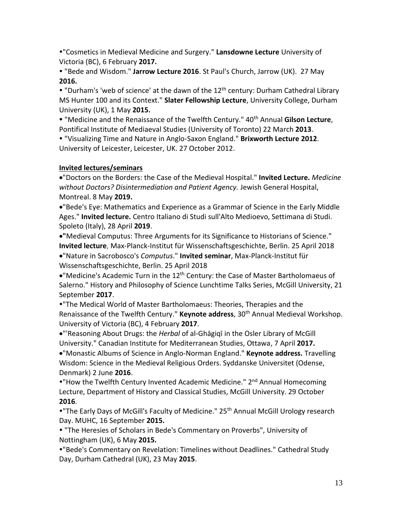"Cosmetics in Medieval Medicine and Surgery." **Lansdowne Lecture** University of Victoria (BC), 6 February **2017.**

 "Bede and Wisdom." **Jarrow Lecture 2016**. St Paul's Church, Jarrow (UK). 27 May **2016.**

• "Durham's 'web of science' at the dawn of the 12<sup>th</sup> century: Durham Cathedral Library MS Hunter 100 and its Context." **Slater Fellowship Lecture**, University College, Durham University (UK), 1 May **2015.**

 "Medicine and the Renaissance of the Twelfth Century." 40th Annual **Gilson Lecture**, Pontifical Institute of Mediaeval Studies (University of Toronto) 22 March **2013**.

 "Visualizing Time and Nature in Anglo-Saxon England." **Brixworth Lecture 2012**. University of Leicester, Leicester, UK. 27 October 2012.

## **Invited lectures/seminars**

•"Doctors on the Borders: the Case of the Medieval Hospital." **Invited Lecture.** *Medicine without Doctors? Disintermediation and Patient Agency.* Jewish General Hospital, Montreal. 8 May **2019.**

•"Bede's Eye: Mathematics and Experience as a Grammar of Science in the Early Middle Ages." **Invited lecture.** Centro Italiano di Studi sull'Alto Medioevo, Settimana di Studi. Spoleto (Italy), 28 April **2019**.

•**"**Medieval Computus: Three Arguments for its Significance to Historians of Science." **Invited lecture**, Max-Planck-Institut für Wissenschaftsgeschichte, Berlin. 25 April 2018

•"Nature in Sacrobosco's *Computus*." **Invited seminar**, Max-Planck-Institut für Wissenschaftsgeschichte, Berlin. 25 April 2018

• "Medicine's Academic Turn in the  $12<sup>th</sup>$  Century: the Case of Master Bartholomaeus of Salerno." History and Philosophy of Science Lunchtime Talks Series, McGill University, 21 September **2017**.

"The Medical World of Master Bartholomaeus: Theories, Therapies and the Renaissance of the Twelfth Century." **Keynote address**, 30th Annual Medieval Workshop. University of Victoria (BC), 4 February **2017**.

•"'Reasoning About Drugs: the *Herbal* of al-Ghāgiqī in the Osler Library of McGill University." Canadian Institute for Mediterranean Studies, Ottawa, 7 April **2017.** 

•"Monastic Albums of Science in Anglo-Norman England." **Keynote address.** Travelling Wisdom: Science in the Medieval Religious Orders. Syddanske Universitet (Odense, Denmark) 2 June **2016**.

• "How the Twelfth Century Invented Academic Medicine." 2<sup>nd</sup> Annual Homecoming Lecture, Department of History and Classical Studies, McGill University. 29 October **2016**.

• "The Early Days of McGill's Faculty of Medicine." 25<sup>th</sup> Annual McGill Urology research Day. MUHC, 16 September **2015.**

 "The Heresies of Scholars in Bede's Commentary on Proverbs", University of Nottingham (UK), 6 May **2015.** 

"Bede's Commentary on Revelation: Timelines without Deadlines." Cathedral Study Day, Durham Cathedral (UK), 23 May **2015**.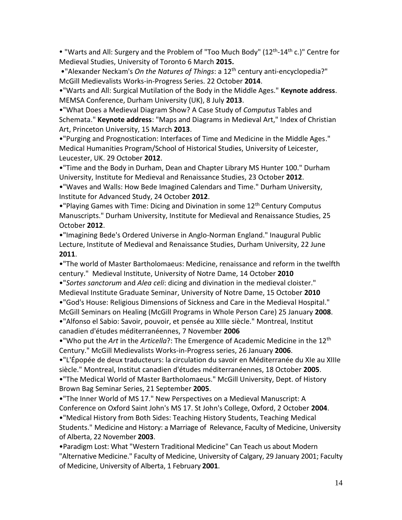• "Warts and All: Surgery and the Problem of "Too Much Body" (12<sup>th</sup>-14<sup>th</sup> c.)" Centre for Medieval Studies, University of Toronto 6 March **2015.**

•"Alexander Neckam's *On the Natures of Things*: a 12th century anti-encyclopedia?" McGill Medievalists Works-in-Progress Series. 22 October **2014**.

•"Warts and All: Surgical Mutilation of the Body in the Middle Ages." **Keynote address**. MEMSA Conference, Durham University (UK), 8 July **2013**.

•"What Does a Medieval Diagram Show? A Case Study of *Computus* Tables and Schemata." **Keynote address**: "Maps and Diagrams in Medieval Art," Index of Christian Art, Princeton University, 15 March **2013**.

•"Purging and Prognostication: Interfaces of Time and Medicine in the Middle Ages." Medical Humanities Program/School of Historical Studies, University of Leicester, Leucester, UK. 29 October **2012**.

•"Time and the Body in Durham, Dean and Chapter Library MS Hunter 100." Durham University, Institute for Medieval and Renaissance Studies, 23 October **2012**.

•"Waves and Walls: How Bede Imagined Calendars and Time." Durham University, Institute for Advanced Study, 24 October **2012**.

• "Playing Games with Time: Dicing and Divination in some 12<sup>th</sup> Century Computus Manuscripts." Durham University, Institute for Medieval and Renaissance Studies, 25 October **2012**.

•"Imagining Bede's Ordered Universe in Anglo-Norman England." Inaugural Public Lecture, Institute of Medieval and Renaissance Studies, Durham University, 22 June **2011**.

•"The world of Master Bartholomaeus: Medicine, renaissance and reform in the twelfth century." Medieval Institute, University of Notre Dame, 14 October **2010**

•"*Sortes sanctorum* and *Alea celi*: dicing and divination in the medieval cloister."

Medieval Institute Graduate Seminar, University of Notre Dame, 15 October **2010** •"God's House: Religious Dimensions of Sickness and Care in the Medieval Hospital." McGill Seminars on Healing (McGill Programs in Whole Person Care) 25 January **2008**.

•"Alfonso el Sabio: Savoir, pouvoir, et pensée au XIIIe siècle." Montreal, Institut canadien d'études méditerranéennes, 7 November **2006**

•"Who put the *Art* in the *Articella*?: The Emergence of Academic Medicine in the 12th Century." McGill Medievalists Works-in-Progress series, 26 January **2006**.

•"L'Épopée de deux traducteurs: la circulation du savoir en Méditerranée du XIe au XIIIe siècle." Montreal, Institut canadien d'études méditerranéennes, 18 October **2005**. •"The Medical World of Master Bartholomaeus." McGill University, Dept. of History

Brown Bag Seminar Series, 21 September **2005**.

•"The Inner World of MS 17." New Perspectives on a Medieval Manuscript: A Conference on Oxford Saint John's MS 17. St John's College, Oxford, 2 October **2004**.

•"Medical History from Both Sides: Teaching History Students, Teaching Medical Students." Medicine and History: a Marriage of Relevance, Faculty of Medicine, University of Alberta, 22 November **2003**.

•Paradigm Lost: What "Western Traditional Medicine" Can Teach us about Modern "Alternative Medicine." Faculty of Medicine, University of Calgary, 29 January 2001; Faculty of Medicine, University of Alberta, 1 February **2001**.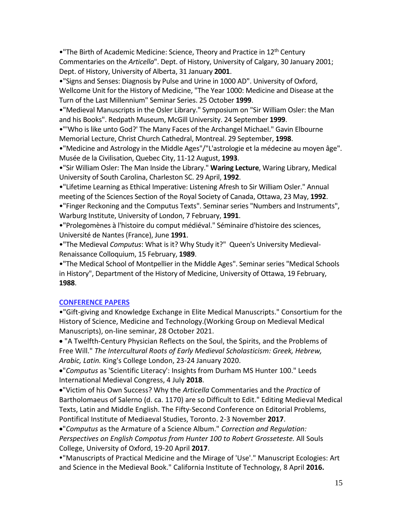• "The Birth of Academic Medicine: Science, Theory and Practice in 12<sup>th</sup> Century Commentaries on the *Articella*". Dept. of History, University of Calgary, 30 January 2001; Dept. of History, University of Alberta, 31 January **2001**.

•"Signs and Senses: Diagnosis by Pulse and Urine in 1000 AD". University of Oxford, Wellcome Unit for the History of Medicine, "The Year 1000: Medicine and Disease at the Turn of the Last Millennium" Seminar Series. 25 October **1999**.

•"Medieval Manuscripts in the Osler Library." Symposium on "Sir William Osler: the Man and his Books". Redpath Museum, McGill University. 24 September **1999**.

•"'Who is like unto God?' The Many Faces of the Archangel Michael." Gavin Elbourne Memorial Lecture, Christ Church Cathedral, Montreal. 29 September, **1998**.

•"Medicine and Astrology in the Middle Ages"/"L'astrologie et la médecine au moyen âge". Musée de la Civilisation, Quebec City, 11-12 August, **1993**.

•"Sir William Osler: The Man Inside the Library." **Waring Lecture**, Waring Library, Medical University of South Carolina, Charleston SC. 29 April, **1992**.

•"Lifetime Learning as Ethical Imperative: Listening Afresh to Sir William Osler." Annual meeting of the Sciences Section of the Royal Society of Canada, Ottawa, 23 May, **1992**.

•"Finger Reckoning and the Computus Texts". Seminar series "Numbers and Instruments", Warburg Institute, University of London, 7 February, **1991**.

•"Prolegomènes à l'histoire du comput médiéval." Séminaire d'histoire des sciences, Université de Nantes (France), June **1991**.

•"The Medieval *Computus*: What is it? Why Study it?" Queen's University Medieval-Renaissance Colloquium, 15 February, **1989**.

•"The Medical School of Montpellier in the Middle Ages". Seminar series "Medical Schools in History", Department of the History of Medicine, University of Ottawa, 19 February, **1988**.

## **CONFERENCE PAPERS**

•"Gift-giving and Knowledge Exchange in Elite Medical Manuscripts." Consortium for the History of Science, Medicine and Technology.(Working Group on Medieval Medical Manuscripts), on-line seminar, 28 October 2021.

• "A Twelfth-Century Physician Reflects on the Soul, the Spirits, and the Problems of Free Will." *The Intercultural Roots of Early Medieval Scholasticism: Greek, Hebrew, Arabic, Latin.* King's College London, 23-24 January 2020.

•"*Computus* as 'Scientific Literacy': Insights from Durham MS Hunter 100." Leeds International Medieval Congress, 4 July **2018**.

•"Victim of his Own Success? Why the *Articella* Commentaries and the *Practica* of Bartholomaeus of Salerno (d. ca. 1170) are so Difficult to Edit." Editing Medieval Medical Texts, Latin and Middle English. The Fifty-Second Conference on Editorial Problems, Pontifical Institute of Mediaeval Studies, Toronto. 2-3 November **2017**.

•"*Computus* as the Armature of a Science Album." *Correction and Regulation: Perspectives on English Compotus from Hunter 100 to Robert Grosseteste.* All Souls College, University of Oxford, 19-20 April **2017**.

"Manuscripts of Practical Medicine and the Mirage of 'Use'." Manuscript Ecologies: Art and Science in the Medieval Book." California Institute of Technology, 8 April **2016.**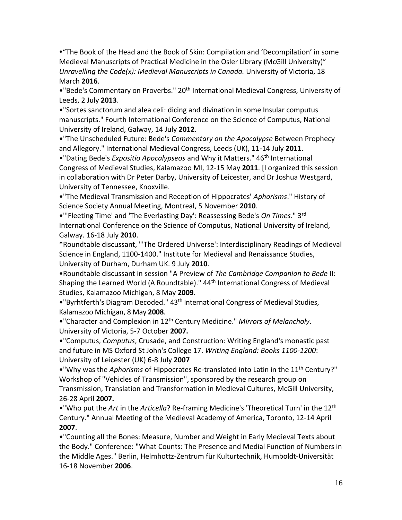"The Book of the Head and the Book of Skin: Compilation and 'Decompilation' in some Medieval Manuscripts of Practical Medicine in the Osler Library (McGill University)" *Unravelling the Code(x): Medieval Manuscripts in Canada. University of Victoria, 18* March **2016**.

• "Bede's Commentary on Proverbs." 20<sup>th</sup> International Medieval Congress, University of Leeds, 2 July **2013**.

•"Sortes sanctorum and alea celi: dicing and divination in some Insular computus manuscripts." Fourth International Conference on the Science of Computus, National University of Ireland, Galway, 14 July **2012**.

•"The Unscheduled Future: Bede's *Commentary on the Apocalypse* Between Prophecy and Allegory." International Medieval Congress, Leeds (UK), 11-14 July **2011**.

•"Dating Bede's *Expositio Apocalypseos* and Why it Matters." 46th International Congress of Medieval Studies, Kalamazoo MI, 12-15 May **2011**. [I organized this session in collaboration with Dr Peter Darby, University of Leicester, and Dr Joshua Westgard, University of Tennessee, Knoxville.

•"The Medieval Transmission and Reception of Hippocrates' *Aphorisms*." History of Science Society Annual Meeting, Montreal, 5 November **2010**.

•"'Fleeting Time' and 'The Everlasting Day': Reassessing Bede's *On Times*." 3rd International Conference on the Science of Computus, National University of Ireland, Galway. 16-18 July **2010**.

\*Roundtable discussant, "'The Ordered Universe': Interdisciplinary Readings of Medieval Science in England, 1100-1400." Institute for Medieval and Renaissance Studies, University of Durham, Durham UK. 9 July **2010**.

•Roundtable discussant in session "A Preview of *The Cambridge Companion to Bede* II: Shaping the Learned World (A Roundtable)." 44<sup>th</sup> International Congress of Medieval Studies, Kalamazoo Michigan, 8 May **2009**.

• "Byrhtferth's Diagram Decoded." 43<sup>th</sup> International Congress of Medieval Studies, Kalamazoo Michigan, 8 May **2008**.

•"Character and Complexion in 12th Century Medicine." *Mirrors of Melancholy*. University of Victoria, 5-7 October **2007.**

•"Computus, *Computus*, Crusade, and Construction: Writing England's monastic past and future in MS Oxford St John's College 17. *Writing England: Books 1100-1200*: University of Leicester (UK) 6-8 July **2007**

•"Why was the *Aphorisms* of Hippocrates Re-translated into Latin in the 11<sup>th</sup> Century?" Workshop of "Vehicles of Transmission", sponsored by the research group on Transmission, Translation and Transformation in Medieval Cultures, McGill University, 26-28 April **2007.**

•"Who put the *Art* in the *Articella*? Re-framing Medicine's 'Theoretical Turn' in the 12th Century." Annual Meeting of the Medieval Academy of America, Toronto, 12-14 April **2007**.

•"Counting all the Bones: Measure, Number and Weight in Early Medieval Texts about the Body." Conference: **"**What Counts: The Presence and Medial Function of Numbers in the Middle Ages." Berlin, Helmhottz-Zentrum für Kulturtechnik, Humboldt-Universität 16-18 November **2006**.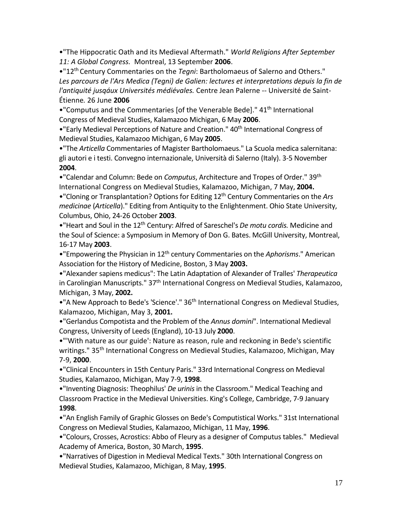•"The Hippocratic Oath and its Medieval Aftermath." *World Religions After September 11: A Global Congress.* Montreal, 13 September **2006**.

•"12th Century Commentaries on the *Tegni*: Bartholomaeus of Salerno and Others." *Les parcours de l'Ars Medica (Tegni) de Galien: lectures et interpretations depuis la fin de l'antiquité jusqáux Universités médiévales.* Centre Jean Palerne -- Université de Saint-Étienne*.* 26 June **2006**

• "Computus and the Commentaries [of the Venerable Bede]." 41<sup>th</sup> International Congress of Medieval Studies, Kalamazoo Michigan, 6 May **2006**.

• "Early Medieval Perceptions of Nature and Creation." 40<sup>th</sup> International Congress of Medieval Studies, Kalamazoo Michigan, 6 May **2005**.

•"The *Articella* Commentaries of Magister Bartholomaeus." La Scuola medica salernitana: gli autori e i testi. Convegno internazionale, Università di Salerno (Italy). 3-5 November **2004**.

•"Calendar and Column: Bede on *Computus*, Architecture and Tropes of Order." 39th International Congress on Medieval Studies, Kalamazoo, Michigan, 7 May, **2004.**

•"Cloning or Transplantation? Options for Editing 12th Century Commentaries on the *Ars medicinae* (*Articella*)." Editing from Antiquity to the Enlightenment. Ohio State University, Columbus, Ohio, 24-26 October **2003**.

• "Heart and Soul in the 12<sup>th</sup> Century: Alfred of Sareschel's *De motu cordis*. Medicine and the Soul of Science: a Symposium in Memory of Don G. Bates. McGill University, Montreal, 16-17 May **2003**.

•"Empowering the Physician in 12th century Commentaries on the *Aphorisms*." American Association for the History of Medicine, Boston, 3 May **2003.**

•"Alexander sapiens medicus": The Latin Adaptation of Alexander of Tralles' *Therapeutica* in Carolingian Manuscripts." 37<sup>th</sup> International Congress on Medieval Studies, Kalamazoo, Michigan, 3 May, **2002.**

•"A New Approach to Bede's 'Science'." 36<sup>th</sup> International Congress on Medieval Studies, Kalamazoo, Michigan, May 3, **2001.**

•"Gerlandus Compotista and the Problem of the *Annus domini*". International Medieval Congress, University of Leeds (England), 10-13 July **2000**.

•"'With nature as our guide': Nature as reason, rule and reckoning in Bede's scientific writings." 35<sup>th</sup> International Congress on Medieval Studies, Kalamazoo, Michigan, May 7-9, **2000**.

•"Clinical Encounters in 15th Century Paris." 33rd International Congress on Medieval Studies, Kalamazoo, Michigan, May 7-9, **1998**.

•"Inventing Diagnosis: Theophilus' *De urinis* in the Classroom." Medical Teaching and Classroom Practice in the Medieval Universities. King's College, Cambridge, 7-9 January **1998**.

•"An English Family of Graphic Glosses on Bede's Computistical Works." 31st International Congress on Medieval Studies, Kalamazoo, Michigan, 11 May, **1996**.

•"Colours, Crosses, Acrostics: Abbo of Fleury as a designer of Computus tables." Medieval Academy of America, Boston, 30 March, **1995**.

•"Narratives of Digestion in Medieval Medical Texts." 30th International Congress on Medieval Studies, Kalamazoo, Michigan, 8 May, **1995**.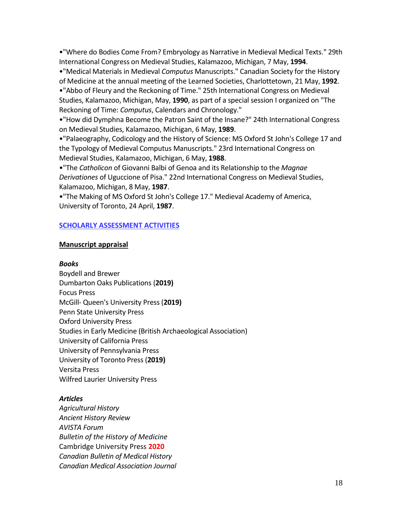•"Where do Bodies Come From? Embryology as Narrative in Medieval Medical Texts." 29th International Congress on Medieval Studies, Kalamazoo, Michigan, 7 May, **1994**.

•"Medical Materials in Medieval *Computus* Manuscripts." Canadian Society for the History of Medicine at the annual meeting of the Learned Societies, Charlottetown, 21 May, **1992**.

•"Abbo of Fleury and the Reckoning of Time." 25th International Congress on Medieval Studies, Kalamazoo, Michigan, May, **1990**, as part of a special session I organized on "The Reckoning of Time: *Computus*, Calendars and Chronology."

•"How did Dymphna Become the Patron Saint of the Insane?" 24th International Congress on Medieval Studies, Kalamazoo, Michigan, 6 May, **1989**.

•"Palaeography, Codicology and the History of Science: MS Oxford St John's College 17 and the Typology of Medieval Computus Manuscripts." 23rd International Congress on Medieval Studies, Kalamazoo, Michigan, 6 May, **1988**.

•"The *Catholicon* of Giovanni Balbi of Genoa and its Relationship to the *Magnae Derivationes* of Uguccione of Pisa." 22nd International Congress on Medieval Studies, Kalamazoo, Michigan, 8 May, **1987**.

•"The Making of MS Oxford St John's College 17." Medieval Academy of America, University of Toronto, 24 April, **1987**.

#### **SCHOLARLY ASSESSMENT ACTIVITIES**

#### **Manuscript appraisal**

#### *Books*

Boydell and Brewer Dumbarton Oaks Publications (**2019)**  Focus Press McGill- Queen's University Press (**2019)**  Penn State University Press Oxford University Press Studies in Early Medicine (British Archaeological Association) University of California Press University of Pennsylvania Press University of Toronto Press (**2019)** Versita Press Wilfred Laurier University Press

#### *Articles*

*Agricultural History Ancient History Review AVISTA Forum Bulletin of the History of Medicine* Cambridge University Press **2020** *Canadian Bulletin of Medical History Canadian Medical Association Journal*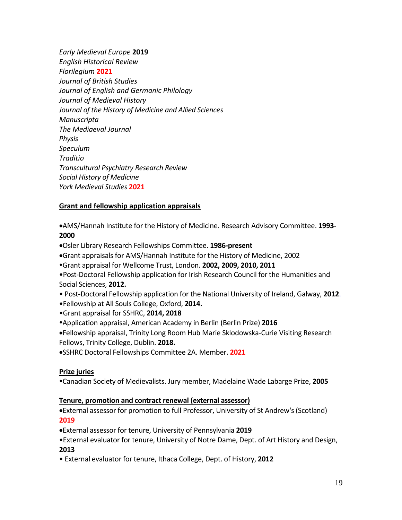*Early Medieval Europe* **2019** *English Historical Review Florilegium* **2021** *Journal of British Studies Journal of English and Germanic Philology Journal of Medieval History Journal of the History of Medicine and Allied Sciences Manuscripta The Mediaeval Journal Physis Speculum Traditio Transcultural Psychiatry Research Review Social History of Medicine York Medieval Studies* **2021**

### **Grant and fellowship application appraisals**

•AMS/Hannah Institute for the History of Medicine. Research Advisory Committee. **1993- 2000**

- •Osler Library Research Fellowships Committee. **1986-present**
- •Grant appraisals for AMS/Hannah Institute for the History of Medicine, 2002
- Grant appraisal for Wellcome Trust, London. **2002, 2009, 2010, 2011**
- •Post-Doctoral Fellowship application for Irish Research Council for the Humanities and Social Sciences, **2012.**
- Post-Doctoral Fellowship application for the National University of Ireland, Galway, **2012**.
- •Fellowship at All Souls College, Oxford, **2014.**
- •Grant appraisal for SSHRC, **2014, 2018**
- Application appraisal, American Academy in Berlin (Berlin Prize) **2016**
- •Fellowship appraisal, Trinity Long Room Hub Marie Sklodowska-Curie Visiting Research Fellows, Trinity College, Dublin. **2018.**
- •SSHRC Doctoral Fellowships Committee 2A. Member. **2021**

#### **Prize juries**

Canadian Society of Medievalists. Jury member, Madelaine Wade Labarge Prize, **2005**

#### **Tenure, promotion and contract renewal (external assessor)**

•External assessor for promotion to full Professor, University of St Andrew's (Scotland) **2019**

- •External assessor for tenure, University of Pennsylvania **2019**
- •External evaluator for tenure, University of Notre Dame, Dept. of Art History and Design, **2013**
- External evaluator for tenure, Ithaca College, Dept. of History, **2012**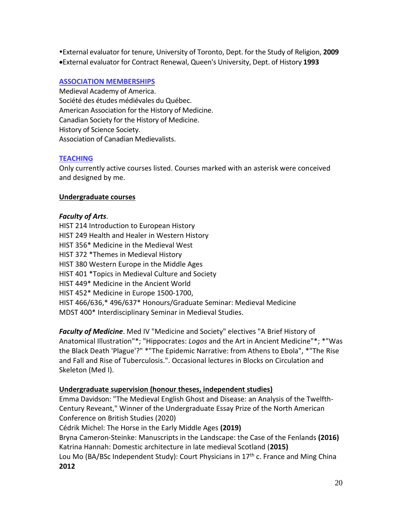External evaluator for tenure, University of Toronto, Dept. for the Study of Religion, **2009** •External evaluator for Contract Renewal, Queen's University, Dept. of History **1993**

### **ASSOCIATION MEMBERSHIPS**

Medieval Academy of America. Société des études médiévales du Québec. American Association for the History of Medicine. Canadian Society for the History of Medicine. History of Science Society. Association of Canadian Medievalists.

### **TEACHING**

Only currently active courses listed. Courses marked with an asterisk were conceived and designed by me.

### **Undergraduate courses**

#### *Faculty of Arts*.

HIST 214 Introduction to European History HIST 249 Health and Healer in Western History HIST 356\* Medicine in the Medieval West HIST 372 \*Themes in Medieval History HIST 380 Western Europe in the Middle Ages HIST 401 \*Topics in Medieval Culture and Society HIST 449\* Medicine in the Ancient World HIST 452\* Medicine in Europe 1500-1700, HIST 466/636,\* 496/637\* Honours/Graduate Seminar: Medieval Medicine MDST 400\* Interdisciplinary Seminar in Medieval Studies.

*Faculty of Medicine*. Med IV "Medicine and Society" electives "A Brief History of Anatomical Illustration"\*; "Hippocrates: *Logos* and the Art in Ancient Medicine"\*; \*"Was the Black Death 'Plague'?" \*"The Epidemic Narrative: from Athens to Ebola", \*"The Rise and Fall and Rise of Tuberculosis.". Occasional lectures in Blocks on Circulation and Skeleton (Med I).

#### **Undergraduate supervision (honour theses, independent studies)**

Emma Davidson: "The Medieval English Ghost and Disease: an Analysis of the Twelfth-Century Reveant," Winner of the Undergraduate Essay Prize of the North American Conference on British Studies (2020)

Cédrik Michel: The Horse in the Early Middle Ages **(2019)**

Bryna Cameron-Steinke: Manuscripts in the Landscape: the Case of the Fenlands **(2016)** Katrina Hannah: Domestic architecture in late medieval Scotland (**2015)**

Lou Mo (BA/BSc Independent Study): Court Physicians in 17<sup>th</sup> c. France and Ming China **2012**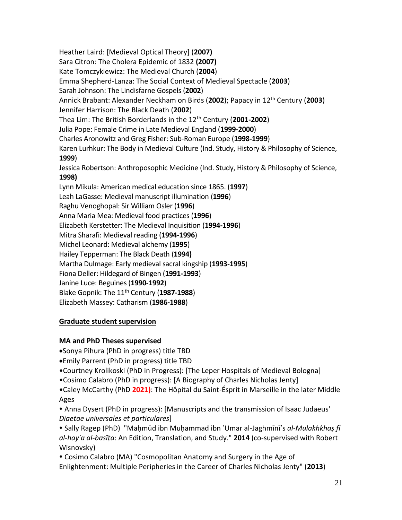Heather Laird: [Medieval Optical Theory] (**2007)** Sara Citron: The Cholera Epidemic of 1832 **(2007)** Kate Tomczykiewicz: The Medieval Church (**2004**) Emma Shepherd-Lanza: The Social Context of Medieval Spectacle (**2003**) Sarah Johnson: The Lindisfarne Gospels (**2002**) Annick Brabant: Alexander Neckham on Birds (**2002**); Papacy in 12th Century (**2003**) Jennifer Harrison: The Black Death (**2002**) Thea Lim: The British Borderlands in the 12th Century (**2001-2002**) Julia Pope: Female Crime in Late Medieval England (**1999-2000**) Charles Aronowitz and Greg Fisher: Sub-Roman Europe (**1998-1999**) Karen Lurhkur: The Body in Medieval Culture (Ind. Study, History & Philosophy of Science, **1999**) Jessica Robertson: Anthroposophic Medicine (Ind. Study, History & Philosophy of Science, **1998)** Lynn Mikula: American medical education since 1865. (**1997**) Leah LaGasse: Medieval manuscript illumination (**1996**) Raghu Venoghopal: Sir William Osler (**1996**) Anna Maria Mea: Medieval food practices (**1996**) Elizabeth Kerstetter: The Medieval Inquisition (**1994-1996**) Mitra Sharafi: Medieval reading (**1994-1996**) Michel Leonard: Medieval alchemy (**1995**) Hailey Tepperman: The Black Death (**1994)** Martha Dulmage: Early medieval sacral kingship (**1993-1995**) Fiona Deller: Hildegard of Bingen (**1991-1993**) Janine Luce: Beguines (**1990-1992**) Blake Gopnik: The 11th Century (**1987-1988**) Elizabeth Massey: Catharism (**1986-1988**)

## **Graduate student supervision**

## **MA and PhD Theses supervised**

•Sonya Pihura (PhD in progress) title TBD

- •Emily Parrent (PhD in progress) title TBD
- •Courtney Krolikoski (PhD in Progress): [The Leper Hospitals of Medieval Bologna]
- •Cosimo Calabro (PhD in progress): [A Biography of Charles Nicholas Jenty]

•Caley McCarthy (PhD **2021)**: The Hôpital du Saint-Ésprit in Marseille in the later Middle Ages

 Anna Dysert (PhD in progress): [Manuscripts and the transmission of Isaac Judaeus' *Diaetae universales et particulares*]

 Sally Ragep (PhD) "Maḥmūd ibn Muḥammad ibn ʿUmar al-Jaghmīnī's *al-Mulakhkhaṣ fī al-hayʾa al-basīṭa*: An Edition, Translation, and Study." **2014** (co-supervised with Robert Wisnovsky)

 Cosimo Calabro (MA) "Cosmopolitan Anatomy and Surgery in the Age of Enlightenment: Multiple Peripheries in the Career of Charles Nicholas Jenty" (**2013**)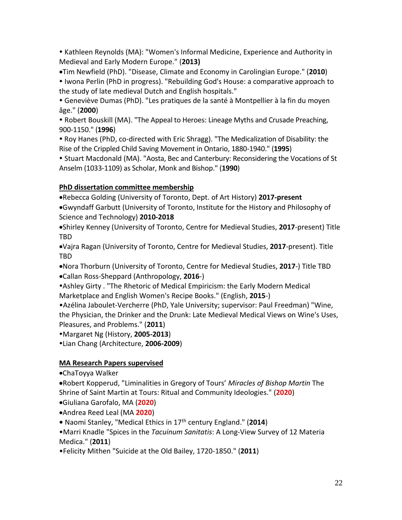Kathleen Reynolds (MA): "Women's Informal Medicine, Experience and Authority in Medieval and Early Modern Europe." (**2013)**

•Tim Newfield (PhD). "Disease, Climate and Economy in Carolingian Europe." (**2010**)

 Iwona Perlin (PhD in progress). "Rebuilding God's House: a comparative approach to the study of late medieval Dutch and English hospitals."

 Geneviève Dumas (PhD). "Les pratiques de la santé à Montpellier à la fin du moyen âge." (**2000**)

• Robert Bouskill (MA). "The Appeal to Heroes: Lineage Myths and Crusade Preaching, 900-1150." (**1996**)

• Roy Hanes (PhD, co-directed with Eric Shragg). "The Medicalization of Disability: the Rise of the Crippled Child Saving Movement in Ontario, 1880-1940." (**1995**)

 Stuart Macdonald (MA). "Aosta, Bec and Canterbury: Reconsidering the Vocations of St Anselm (1033-1109) as Scholar, Monk and Bishop." (**1990**)

## **PhD dissertation committee membership**

•Rebecca Golding (University of Toronto, Dept. of Art History) **2017-present**

•Gwyndaff Garbutt (University of Toronto, Institute for the History and Philosophy of Science and Technology) **2010-2018**

•Shirley Kenney (University of Toronto, Centre for Medieval Studies, **2017**-present) Title TBD

•Vajra Ragan (University of Toronto, Centre for Medieval Studies, **2017**-present). Title TBD

•Nora Thorburn (University of Toronto, Centre for Medieval Studies, **2017**-) Title TBD

•Callan Ross-Sheppard (Anthropology, **2016**-)

Ashley Girty . "The Rhetoric of Medical Empiricism: the Early Modern Medical Marketplace and English Women's Recipe Books." (English, **2015**-)

•Azélina Jaboulet-Vercherre (PhD, Yale University; supervisor: Paul Freedman) "Wine, the Physician, the Drinker and the Drunk: Late Medieval Medical Views on Wine's Uses, Pleasures, and Problems." (**2011**)

Margaret Ng (History, **2005-2013**)

Lian Chang (Architecture, **2006-2009**)

## **MA Research Papers supervised**

•ChaToyya Walker

•Robert Kopperud, "Liminalities in Gregory of Tours' *Miracles of Bishop Martin* The Shrine of Saint Martin at Tours: Ritual and Community Ideologies." (**2020**)

•Giuliana Garofalo, MA (**2020**)

•Andrea Reed Leal (MA **2020**)

**•** Naomi Stanley, "Medical Ethics in 17th century England." (**2014**)

•Marri Knadle "Spices in the *Tacuinum Sanitatis*: A Long-View Survey of 12 Materia Medica." (**2011**)

•Felicity Mithen "Suicide at the Old Bailey, 1720-1850." (**2011**)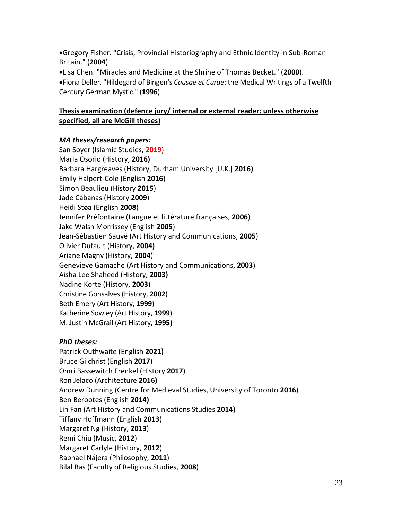•Gregory Fisher. "Crisis, Provincial Historiography and Ethnic Identity in Sub-Roman Britain." (**2004**)

•Lisa Chen. "Miracles and Medicine at the Shrine of Thomas Becket." (**2000**). •Fiona Deller. "Hildegard of Bingen's *Causae et Curae*: the Medical Writings of a Twelfth Century German Mystic." (**1996**)

## **Thesis examination (defence jury/ internal or external reader: unless otherwise specified, all are McGill theses)**

## *MA theses/research papers:*

San Soyer (Islamic Studies, **2019**) Maria Osorio (History, **2016)** Barbara Hargreaves (History, Durham University [U.K.] **2016)** Emily Halpert-Cole (English **2016**) Simon Beaulieu (History **2015**) Jade Cabanas (History **2009**) Heidi Støa (English **2008**) Jennifer Préfontaine (Langue et littérature françaises, **2006**) Jake Walsh Morrissey (English **2005**) Jean-Sébastien Sauvé (Art History and Communications, **2005**) Olivier Dufault (History, **2004)** Ariane Magny (History, **2004**) Genevieve Gamache (Art History and Communications, **2003**) Aisha Lee Shaheed (History, **2003)** Nadine Korte (History, **2003**) Christine Gonsalves (History, **2002**) Beth Emery (Art History, **1999**) Katherine Sowley (Art History, **1999**) M. Justin McGrail (Art History, **1995)**

## *PhD theses:*

Patrick Outhwaite (English **2021)** Bruce Gilchrist (English **2017**) Omri Bassewitch Frenkel (History **2017**) Ron Jelaco (Architecture **2016)** Andrew Dunning (Centre for Medieval Studies, University of Toronto **2016**) Ben Berootes (English **2014)** Lin Fan (Art History and Communications Studies **2014)** Tiffany Hoffmann (English **2013**) Margaret Ng (History, **2013**) Remi Chiu (Music, **2012**) Margaret Carlyle (History, **2012**) Raphael Nájera (Philosophy, **2011**) Bilal Bas (Faculty of Religious Studies, **2008**)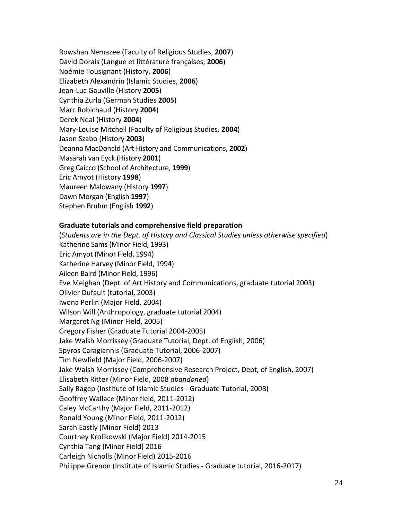Rowshan Nemazee (Faculty of Religious Studies, **2007**) David Dorais (Langue et littérature françaises, **2006**) Noémie Tousignant (History, **2006**) Elizabeth Alexandrin (Islamic Studies, **2006**) Jean-Luc Gauville (History **2005**) Cynthia Zurla (German Studies **2005**) Marc Robichaud (History **2004**) Derek Neal (History **2004**) Mary-Louise Mitchell (Faculty of Religious Studies, **2004**) Jason Szabo (History **2003**) Deanna MacDonald (Art History and Communications, **2002**) Masarah van Eyck (History **2001**) Greg Caicco (School of Architecture, **1999**) Eric Amyot (History **1998**) Maureen Malowany (History **1997**) Dawn Morgan (English **1997**) Stephen Bruhm (English **1992**)

#### **Graduate tutorials and comprehensive field preparation**

(*Students are in the Dept. of History and Classical Studies unless otherwise specified*) Katherine Sams (Minor Field, 1993) Eric Amyot (Minor Field, 1994) Katherine Harvey (Minor Field, 1994) Aileen Baird (Minor Field, 1996) Eve Meighan (Dept. of Art History and Communications, graduate tutorial 2003) Olivier Dufault (tutorial, 2003) Iwona Perlin (Major Field, 2004) Wilson Will (Anthropology, graduate tutorial 2004) Margaret Ng (Minor Field, 2005) Gregory Fisher (Graduate Tutorial 2004-2005) Jake Walsh Morrissey (Graduate Tutorial, Dept. of English, 2006) Spyros Caragiannis (Graduate Tutorial, 2006-2007) Tim Newfield (Major Field, 2006-2007) Jake Walsh Morrissey (Comprehensive Research Project, Dept, of English, 2007) Elisabeth Ritter (Minor Field, 2008 *abandoned*) Sally Ragep (Institute of Islamic Studies - Graduate Tutorial, 2008) Geoffrey Wallace (Minor field, 2011-2012) Caley McCarthy (Major Field, 2011-2012) Ronald Young (Minor Field, 2011-2012) Sarah Eastly (Minor Field) 2013 Courtney Krolikowski (Major Field) 2014-2015 Cynthia Tang (Minor Field) 2016 Carleigh Nicholls (Minor Field) 2015-2016 Philippe Grenon (Institute of Islamic Studies - Graduate tutorial, 2016-2017)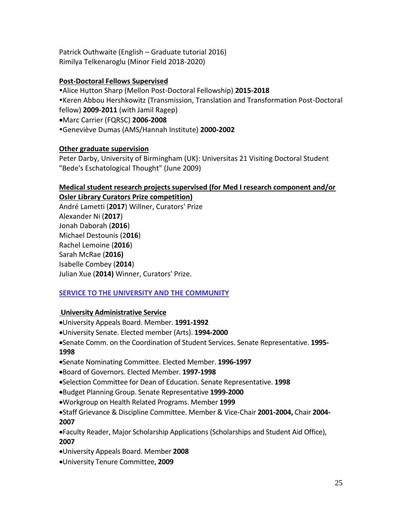Patrick Outhwaite (English – Graduate tutorial 2016) Rimilya Telkenaroglu (Minor Field 2018-2020)

## **Post-Doctoral Fellows Supervised**

Alice Hutton Sharp (Mellon Post-Doctoral Fellowship) **2015-2018** Keren Abbou Hershkowitz (Transmission, Translation and Transformation Post-Doctoral fellow) **2009-2011** (with Jamil Ragep)

•Marc Carrier (FQRSC) **2006-2008**

Geneviève Dumas (AMS/Hannah Institute) **2000-2002**

## **Other graduate supervision**

Peter Darby, University of Birmingham (UK): Universitas 21 Visiting Doctoral Student "Bede's Eschatological Thought" (June 2009)

### **Medical student research projects supervised (for Med I research component and/or Osler Library Curators Prize competition)**

André Lametti (**2017**) Willner, Curators' Prize Alexander Ni (**2017**) Jonah Daborah (**2016**) Michael Destounis (2**016**) Rachel Lemoine (**2016**) Sarah McRae (**2016)** Isabelle Combey (**2014**) Julian Xue (**2014)** Winner, Curators' Prize.

## **SERVICE TO THE UNIVERSITY AND THE COMMUNITY**

## **University Administrative Service**

- •University Appeals Board. Member. **1991-1992**
- •University Senate. Elected member (Arts). **1994-2000**

•Senate Comm. on the Coordination of Student Services. Senate Representative. **1995- 1998**

- •Senate Nominating Committee. Elected Member. **1996-1997**
- •Board of Governors. Elected Member. **1997-1998**
- •Selection Committee for Dean of Education. Senate Representative. **1998**
- •Budget Planning Group. Senate Representative **1999-2000**
- •Workgroup on Health Related Programs. Member **1999**

•Staff Grievance & Discipline Committee. Member & Vice-Chair **2001-2004,** Chair **2004- 2007**

•Faculty Reader, Major Scholarship Applications (Scholarships and Student Aid Office), **2007**

- •University Appeals Board. Member **2008**
- •University Tenure Committee, **2009**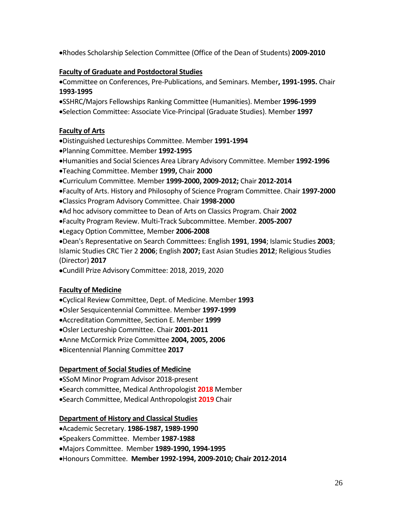•Rhodes Scholarship Selection Committee (Office of the Dean of Students) **2009-2010**

## **Faculty of Graduate and Postdoctoral Studies**

•Committee on Conferences, Pre-Publications, and Seminars. Member**, 1991-1995.** Chair **1993-1995**

- •SSHRC/Majors Fellowships Ranking Committee (Humanities). Member **1996-1999**
- •Selection Committee: Associate Vice-Principal (Graduate Studies). Member **1997**

## **Faculty of Arts**

- •Distinguished Lectureships Committee. Member **1991-1994**
- •Planning Committee. Member **1992-1995**
- •Humanities and Social Sciences Area Library Advisory Committee. Member **1992-1996**
- •Teaching Committee. Member **1999,** Chair **2000**
- •Curriculum Committee. Member **1999-2000, 2009-2012;** Chair **2012-2014**
- •Faculty of Arts. History and Philosophy of Science Program Committee. Chair **1997-2000**
- •Classics Program Advisory Committee. Chair **1998-2000**
- •Ad hoc advisory committee to Dean of Arts on Classics Program. Chair **2002**
- •Faculty Program Review. Multi-Track Subcommittee. Member. **2005-2007**
- •Legacy Option Committee, Member **2006-2008**

•Dean's Representative on Search Committees: English **1991**, **1994**; Islamic Studies **2003**; Islamic Studies CRC Tier 2 **2006**; English **2007;** East Asian Studies **2012**; Religious Studies (Director) **2017**

•Cundill Prize Advisory Committee: 2018, 2019, 2020

## **Faculty of Medicine**

- •Cyclical Review Committee, Dept. of Medicine. Member **1993**
- •Osler Sesquicentennial Committee. Member **1997-1999**
- •Accreditation Committee, Section E. Member **1999**
- •Osler Lectureship Committee. Chair **2001-2011**
- •Anne McCormick Prize Committee **2004, 2005, 2006**
- •Bicentennial Planning Committee **2017**

## **Department of Social Studies of Medicine**

- •SSoM Minor Program Advisor 2018-present
- •Search committee, Medical Anthropologist **2018** Member
- •Search Committee, Medical Anthropologist **2019** Chair

## **Department of History and Classical Studies**

- •Academic Secretary. **1986-1987, 1989-1990**
- •Speakers Committee. Member **1987-1988**
- •Majors Committee. Member **1989-1990, 1994-1995**
- •Honours Committee. **Member 1992-1994, 2009-2010; Chair 2012-2014**